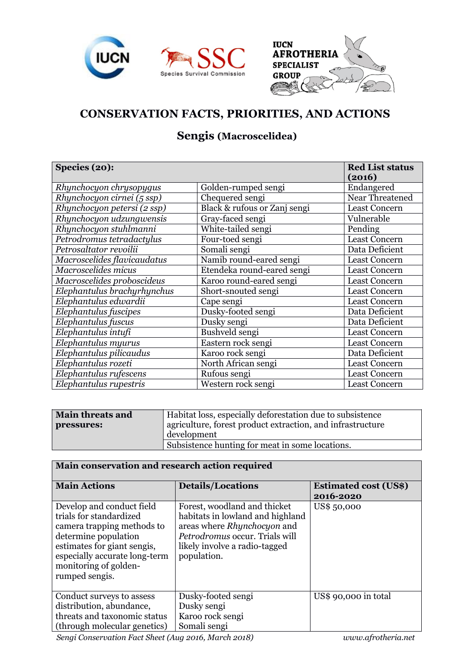





## **CONSERVATION FACTS, PRIORITIES, AND ACTIONS**

## **Sengis (Macroscelidea)**

| Species (20):               |                              | <b>Red List status</b><br>(2016) |
|-----------------------------|------------------------------|----------------------------------|
| Rhynchocyon chrysopygus     | Golden-rumped sengi          | Endangered                       |
| Rhynchocyon cirnei (5 ssp)  | Chequered sengi              | Near Threatened                  |
| Rhynchocyon petersi (2 ssp) | Black & rufous or Zanj sengi | <b>Least Concern</b>             |
| Rhynchocyon udzungwensis    | Gray-faced sengi             | Vulnerable                       |
| Rhynchocyon stuhlmanni      | White-tailed sengi           | Pending                          |
| Petrodromus tetradactylus   | Four-toed sengi              | <b>Least Concern</b>             |
| Petrosaltator revoilii      | Somali sengi                 | Data Deficient                   |
| Macroscelides flavicaudatus | Namib round-eared sengi      | <b>Least Concern</b>             |
| Macroscelides micus         | Etendeka round-eared sengi   | <b>Least Concern</b>             |
| Macroscelides proboscideus  | Karoo round-eared sengi      | <b>Least Concern</b>             |
| Elephantulus brachyrhynchus | Short-snouted sengi          | <b>Least Concern</b>             |
| Elephantulus edwardii       | Cape sengi                   | <b>Least Concern</b>             |
| Elephantulus fuscipes       | Dusky-footed sengi           | Data Deficient                   |
| Elephantulus fuscus         | Dusky sengi                  | Data Deficient                   |
| Elephantulus intufi         | Bushveld sengi               | <b>Least Concern</b>             |
| Elephantulus myurus         | Eastern rock sengi           | <b>Least Concern</b>             |
| Elephantulus pilicaudus     | Karoo rock sengi             | Data Deficient                   |
| Elephantulus rozeti         | North African sengi          | <b>Least Concern</b>             |
| Elephantulus rufescens      | Rufous sengi                 | <b>Least Concern</b>             |
| Elephantulus rupestris      | Western rock sengi           | <b>Least Concern</b>             |

| <b>Main threats and</b> | Habitat loss, especially deforestation due to subsistence  |
|-------------------------|------------------------------------------------------------|
| pressures:              | agriculture, forest product extraction, and infrastructure |
|                         | development                                                |
|                         | Subsistence hunting for meat in some locations.            |

| Main conservation and research action required                                                                                                                                                                        |                                                                                                                                                                                   |                                           |  |  |
|-----------------------------------------------------------------------------------------------------------------------------------------------------------------------------------------------------------------------|-----------------------------------------------------------------------------------------------------------------------------------------------------------------------------------|-------------------------------------------|--|--|
| <b>Main Actions</b>                                                                                                                                                                                                   | <b>Details/Locations</b>                                                                                                                                                          | <b>Estimated cost (US\$)</b><br>2016-2020 |  |  |
| Develop and conduct field<br>trials for standardized<br>camera trapping methods to<br>determine population<br>estimates for giant sengis,<br>especially accurate long-term<br>monitoring of golden-<br>rumped sengis. | Forest, woodland and thicket<br>habitats in lowland and highland<br>areas where Rhynchocyon and<br>Petrodromus occur. Trials will<br>likely involve a radio-tagged<br>population. | US\$ 50,000                               |  |  |
| Conduct surveys to assess<br>distribution, abundance,                                                                                                                                                                 | Dusky-footed sengi<br>Dusky sengi                                                                                                                                                 | US\$ 90,000 in total                      |  |  |
| threats and taxonomic status                                                                                                                                                                                          | Karoo rock sengi                                                                                                                                                                  |                                           |  |  |
| (through molecular genetics)                                                                                                                                                                                          | Somali sengi                                                                                                                                                                      |                                           |  |  |

*Sengi Conservation Fact Sheet (Aug 2016, March 2018) www.afrotheria.net*